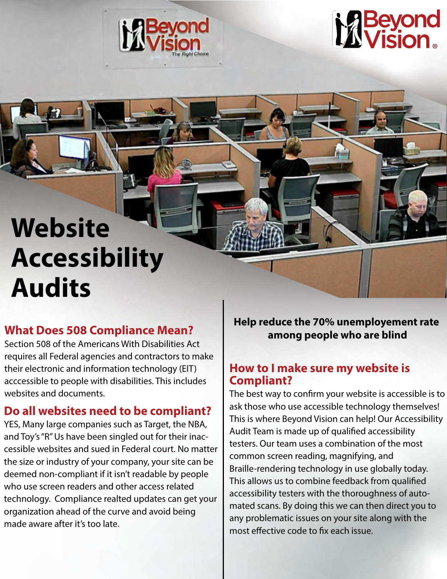



# **Website Accessibility Audits**

requires all Federal agencies and contractors to make their electronic and information technology (EIT) acccessible to people with disabilities. This includes websites and documents.

### **Do all websites need to be compliant?**

YES, Many large companies such as Target, the NBA, and Toy's "R" Us have been singled out for their inaccessible websites and sued in Federal court. No matter the size or industry of your company, your site can be deemed non-compliant if it isn't readable by people who use screen readers and other access related technology. Compliance realted updates can get your organization ahead of the curve and avoid being made aware after it's too late.

**What Does 508 Compliance Mean? and Help reduce the 70% unemployement rate What Does 508 Compliance Mean? among people who are blind** Section 508 of the Americans With Disabilities Act

#### **How to I make sure my website is Compliant?**

The best way to confirm your website is accessible is to ask those who use accessible technology themselves! This is where Beyond Vision can help! Our Accessibility Audit Team is made up of qualified accessibility testers. Our team uses a combination of the most common screen reading, magnifying, and Braille-rendering technology in use globally today. This allows us to combine feedback from qualified accessibility testers with the thoroughness of automated scans. By doing this we can then direct you to any problematic issues on your site along with the most effective code to fix each issue.